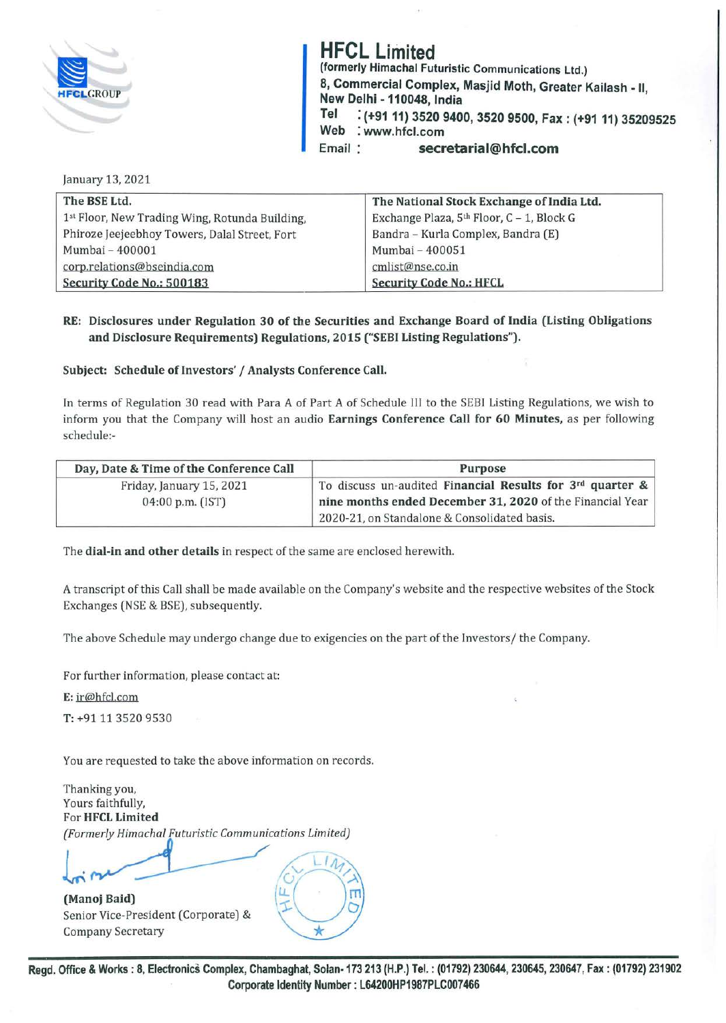

**HFCL Limited (formerly Himachal Futuristic Communications Ltd.) 8, Commercial Complex, Masjid Moth, Greater Kailash** . II **New Delhi** - **110048, India** ' **Tel** : **(+9111) 3520 9400, 3520 9500, Fax: (+9111) 35209525 Web** : **www.hfcl.com**  Email : **secretarial@hfcl.com** 

January 13, 2021

| The BSE Ltd.                                   | The National Stock Exchange of India Ltd. |  |
|------------------------------------------------|-------------------------------------------|--|
| 1st Floor, New Trading Wing, Rotunda Building, | Exchange Plaza, 5th Floor, C - 1, Block G |  |
| Phiroze Jeejeebhoy Towers, Dalal Street, Fort  | Bandra - Kurla Complex, Bandra (E)        |  |
| Mumbai - 400001                                | Mumbai - 400051                           |  |
| corp.relations@bseindia.com                    | cmlist@nse.co.in                          |  |
| Security Code No.: 500183                      | <b>Security Code No.: HFCL</b>            |  |

## **RE: Disclosures under Regulation 30 of the Securities and Exchange Board of India (Listing Obligations and Disclosure Requirements) Regulations, 2015 ("SEBI Listing Regulations").**

Subject: Schedule of Investors' / Analysts Conference Call.

In terms of Regulation 30 read with Para A of Part A of Schedule III to the SEBI Listing Regulations, we wish to inform you that the Company will host an audio **Earnings Conference Call for 60 Minutes,** as per following schedule:-

| Day, Date & Time of the Conference Call | Purpose                                                   |
|-----------------------------------------|-----------------------------------------------------------|
| Friday, January 15, 2021                | To discuss un-audited Financial Results for 3rd quarter & |
| 04:00 p.m. (IST)                        | nine months ended December 31, 2020 of the Financial Year |
|                                         | 2020-21, on Standalone & Consolidated basis.              |

The **dial-in and other details** in respect of the same are enclosed herewith.

A transcript of this Call shall be made available on the Company's website and the respective websites of the Stock Exchanges (NSE & BSE), subsequently.

The above Schedule may undergo change due to exigencies on the part of the Investors/ the Company.

For further information, please contact at:

**E:** ir@hfcl.com

**T:** +9111 3520 9530

You are requested to take the above information on records.

Thanking you, Yours faithfully, For **HFCL Limited**  *(Formerly Himacha/ Futuristic Communications Limited)* 

L **(Manoj Baid)** 

Senior Vice-President (Corporate) & Company Secretary